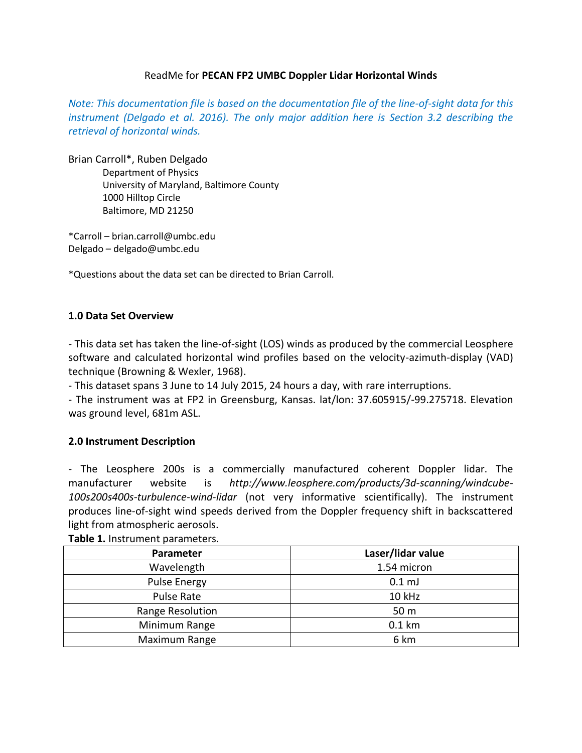#### ReadMe for **PECAN FP2 UMBC Doppler Lidar Horizontal Winds**

*Note: This documentation file is based on the documentation file of the line-of-sight data for this instrument (Delgado et al. 2016). The only major addition here is Section 3.2 describing the retrieval of horizontal winds.*

Brian Carroll\*, Ruben Delgado Department of Physics University of Maryland, Baltimore County 1000 Hilltop Circle Baltimore, MD 21250

\*Carroll – brian.carroll@umbc.edu Delgado – delgado@umbc.edu

\*Questions about the data set can be directed to Brian Carroll.

### **1.0 Data Set Overview**

- This data set has taken the line-of-sight (LOS) winds as produced by the commercial Leosphere software and calculated horizontal wind profiles based on the velocity-azimuth-display (VAD) technique (Browning & Wexler, 1968).

- This dataset spans 3 June to 14 July 2015, 24 hours a day, with rare interruptions.

- The instrument was at FP2 in Greensburg, Kansas. lat/lon: 37.605915/-99.275718. Elevation was ground level, 681m ASL.

### **2.0 Instrument Description**

- The Leosphere 200s is a commercially manufactured coherent Doppler lidar. The manufacturer website is *http://www.leosphere.com/products/3d-scanning/windcube-100s200s400s-turbulence-wind-lidar* (not very informative scientifically). The instrument produces line-of-sight wind speeds derived from the Doppler frequency shift in backscattered light from atmospheric aerosols.

| Parameter        | Laser/lidar value |  |  |  |
|------------------|-------------------|--|--|--|
| Wavelength       | 1.54 micron       |  |  |  |
| Pulse Energy     | 0.1 <sub>mJ</sub> |  |  |  |
| Pulse Rate       | 10 kHz            |  |  |  |
| Range Resolution | 50 m              |  |  |  |
| Minimum Range    | 0.1 km            |  |  |  |
| Maximum Range    | 6 km              |  |  |  |

**Table 1.** Instrument parameters.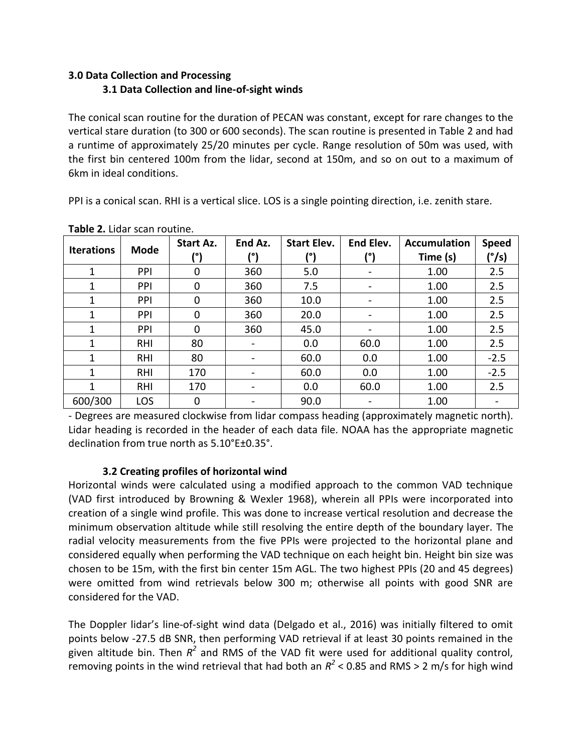# **3.0 Data Collection and Processing 3.1 Data Collection and line-of-sight winds**

The conical scan routine for the duration of PECAN was constant, except for rare changes to the vertical stare duration (to 300 or 600 seconds). The scan routine is presented in Table 2 and had a runtime of approximately 25/20 minutes per cycle. Range resolution of 50m was used, with the first bin centered 100m from the lidar, second at 150m, and so on out to a maximum of 6km in ideal conditions.

PPI is a conical scan. RHI is a vertical slice. LOS is a single pointing direction, i.e. zenith stare.

| <b>Iterations</b> | <b>Mode</b> | Start Az.<br>(°) | End Az. | <b>Start Elev.</b><br>(°) | End Elev.<br>(°)         | <b>Accumulation</b><br>Time (s) | <b>Speed</b><br>(°/s) |
|-------------------|-------------|------------------|---------|---------------------------|--------------------------|---------------------------------|-----------------------|
| 1                 | <b>PPI</b>  | 0                | 360     | 5.0                       | $\overline{\phantom{a}}$ | 1.00                            | 2.5                   |
| 1                 | <b>PPI</b>  | 0                | 360     | 7.5                       |                          | 1.00                            | 2.5                   |
| 1                 | <b>PPI</b>  | 0                | 360     | 10.0                      |                          | 1.00                            | 2.5                   |
| 1                 | PPI         | 0                | 360     | 20.0                      |                          | 1.00                            | 2.5                   |
| 1                 | <b>PPI</b>  | 0                | 360     | 45.0                      |                          | 1.00                            | 2.5                   |
| 1                 | <b>RHI</b>  | 80               |         | 0.0                       | 60.0                     | 1.00                            | 2.5                   |
| 1                 | <b>RHI</b>  | 80               |         | 60.0                      | 0.0                      | 1.00                            | $-2.5$                |
| 1                 | <b>RHI</b>  | 170              |         | 60.0                      | 0.0                      | 1.00                            | $-2.5$                |
| 1                 | <b>RHI</b>  | 170              |         | 0.0                       | 60.0                     | 1.00                            | 2.5                   |
| 600/300           | LOS         | 0                |         | 90.0                      |                          | 1.00                            |                       |

**Table 2.** Lidar scan routine.

- Degrees are measured clockwise from lidar compass heading (approximately magnetic north). Lidar heading is recorded in the header of each data file. NOAA has the appropriate magnetic declination from true north as 5.10°E±0.35°.

# **3.2 Creating profiles of horizontal wind**

Horizontal winds were calculated using a modified approach to the common VAD technique (VAD first introduced by Browning & Wexler 1968), wherein all PPIs were incorporated into creation of a single wind profile. This was done to increase vertical resolution and decrease the minimum observation altitude while still resolving the entire depth of the boundary layer. The radial velocity measurements from the five PPIs were projected to the horizontal plane and considered equally when performing the VAD technique on each height bin. Height bin size was chosen to be 15m, with the first bin center 15m AGL. The two highest PPIs (20 and 45 degrees) were omitted from wind retrievals below 300 m; otherwise all points with good SNR are considered for the VAD.

The Doppler lidar's line-of-sight wind data (Delgado et al., 2016) was initially filtered to omit points below -27.5 dB SNR, then performing VAD retrieval if at least 30 points remained in the given altitude bin. Then  $R^2$  and RMS of the VAD fit were used for additional quality control, removing points in the wind retrieval that had both an  $R^2$  < 0.85 and RMS > 2 m/s for high wind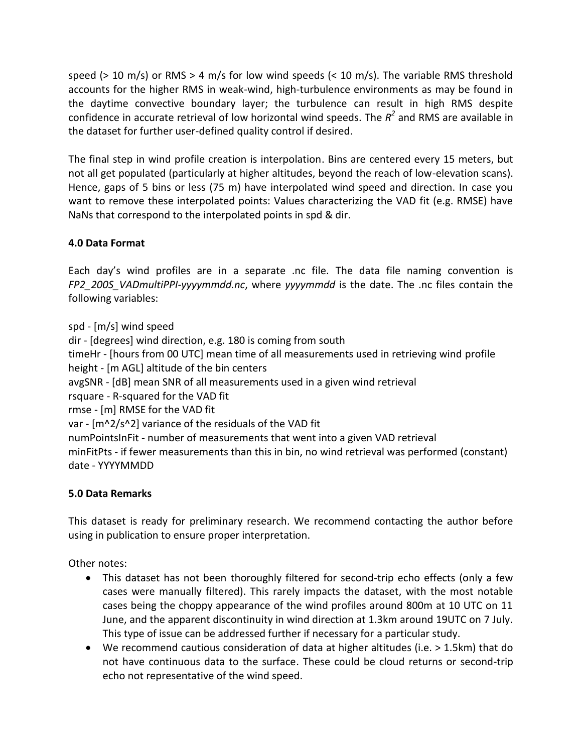speed ( $> 10$  m/s) or RMS  $> 4$  m/s for low wind speeds ( $< 10$  m/s). The variable RMS threshold accounts for the higher RMS in weak-wind, high-turbulence environments as may be found in the daytime convective boundary layer; the turbulence can result in high RMS despite confidence in accurate retrieval of low horizontal wind speeds. The  $R^2$  and RMS are available in the dataset for further user-defined quality control if desired.

The final step in wind profile creation is interpolation. Bins are centered every 15 meters, but not all get populated (particularly at higher altitudes, beyond the reach of low-elevation scans). Hence, gaps of 5 bins or less (75 m) have interpolated wind speed and direction. In case you want to remove these interpolated points: Values characterizing the VAD fit (e.g. RMSE) have NaNs that correspond to the interpolated points in spd & dir.

### **4.0 Data Format**

Each day's wind profiles are in a separate .nc file. The data file naming convention is *FP2\_200S\_VADmultiPPI-yyyymmdd.nc*, where *yyyymmdd* is the date. The .nc files contain the following variables:

spd - [m/s] wind speed dir - [degrees] wind direction, e.g. 180 is coming from south timeHr - [hours from 00 UTC] mean time of all measurements used in retrieving wind profile height - [m AGL] altitude of the bin centers avgSNR - [dB] mean SNR of all measurements used in a given wind retrieval rsquare - R-squared for the VAD fit rmse - [m] RMSE for the VAD fit var - [m^2/s^2] variance of the residuals of the VAD fit numPointsInFit - number of measurements that went into a given VAD retrieval minFitPts - if fewer measurements than this in bin, no wind retrieval was performed (constant) date - YYYYMMDD

### **5.0 Data Remarks**

This dataset is ready for preliminary research. We recommend contacting the author before using in publication to ensure proper interpretation.

Other notes:

- This dataset has not been thoroughly filtered for second-trip echo effects (only a few cases were manually filtered). This rarely impacts the dataset, with the most notable cases being the choppy appearance of the wind profiles around 800m at 10 UTC on 11 June, and the apparent discontinuity in wind direction at 1.3km around 19UTC on 7 July. This type of issue can be addressed further if necessary for a particular study.
- We recommend cautious consideration of data at higher altitudes (i.e. > 1.5km) that do not have continuous data to the surface. These could be cloud returns or second-trip echo not representative of the wind speed.